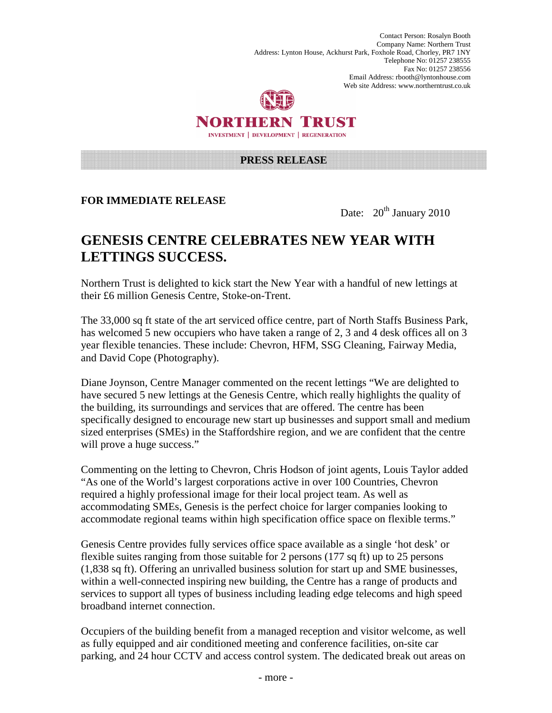Contact Person: Rosalyn Booth Company Name: Northern Trust Address: Lynton House, Ackhurst Park, Foxhole Road, Chorley, PR7 1NY Telephone No: 01257 238555 Fax No: 01257 238556 Email Address: rbooth@lyntonhouse.com Web site Address: www.northerntrust.co.uk



NORTHERN TRUST **INVESTMENT | DEVELOPMENT | REGENERATION** 

## **PRESS RELEASE**

## **FOR IMMEDIATE RELEASE**

Date:  $20^{th}$  January 2010

## **GENESIS CENTRE CELEBRATES NEW YEAR WITH LETTINGS SUCCESS.**

Northern Trust is delighted to kick start the New Year with a handful of new lettings at their £6 million Genesis Centre, Stoke-on-Trent.

The 33,000 sq ft state of the art serviced office centre, part of North Staffs Business Park, has welcomed 5 new occupiers who have taken a range of 2, 3 and 4 desk offices all on 3 year flexible tenancies. These include: Chevron, HFM, SSG Cleaning, Fairway Media, and David Cope (Photography).

Diane Joynson, Centre Manager commented on the recent lettings "We are delighted to have secured 5 new lettings at the Genesis Centre, which really highlights the quality of the building, its surroundings and services that are offered. The centre has been specifically designed to encourage new start up businesses and support small and medium sized enterprises (SMEs) in the Staffordshire region, and we are confident that the centre will prove a huge success."

Commenting on the letting to Chevron, Chris Hodson of joint agents, Louis Taylor added "As one of the World's largest corporations active in over 100 Countries, Chevron required a highly professional image for their local project team. As well as accommodating SMEs, Genesis is the perfect choice for larger companies looking to accommodate regional teams within high specification office space on flexible terms."

Genesis Centre provides fully services office space available as a single 'hot desk' or flexible suites ranging from those suitable for 2 persons (177 sq ft) up to 25 persons (1,838 sq ft). Offering an unrivalled business solution for start up and SME businesses, within a well-connected inspiring new building, the Centre has a range of products and services to support all types of business including leading edge telecoms and high speed broadband internet connection.

Occupiers of the building benefit from a managed reception and visitor welcome, as well as fully equipped and air conditioned meeting and conference facilities, on-site car parking, and 24 hour CCTV and access control system. The dedicated break out areas on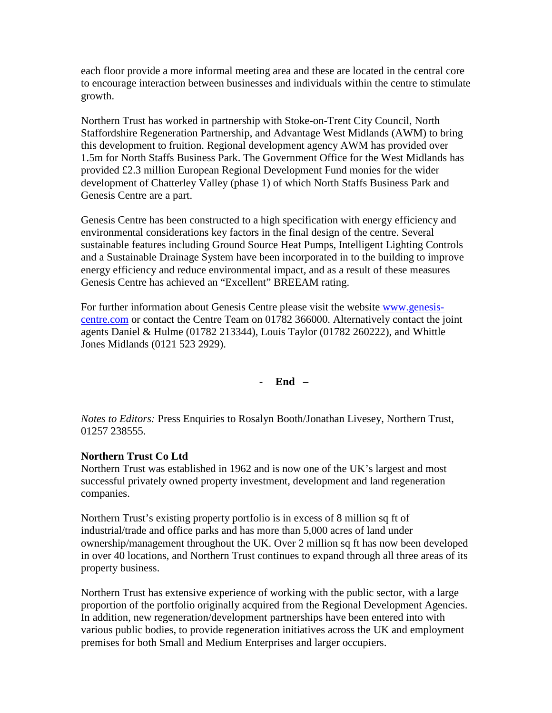each floor provide a more informal meeting area and these are located in the central core to encourage interaction between businesses and individuals within the centre to stimulate growth.

Northern Trust has worked in partnership with Stoke-on-Trent City Council, North Staffordshire Regeneration Partnership, and Advantage West Midlands (AWM) to bring this development to fruition. Regional development agency AWM has provided over 1.5m for North Staffs Business Park. The Government Office for the West Midlands has provided £2.3 million European Regional Development Fund monies for the wider development of Chatterley Valley (phase 1) of which North Staffs Business Park and Genesis Centre are a part.

Genesis Centre has been constructed to a high specification with energy efficiency and environmental considerations key factors in the final design of the centre. Several sustainable features including Ground Source Heat Pumps, Intelligent Lighting Controls and a Sustainable Drainage System have been incorporated in to the building to improve energy efficiency and reduce environmental impact, and as a result of these measures Genesis Centre has achieved an "Excellent" BREEAM rating.

For further information about Genesis Centre please visit the website www.genesiscentre.com or contact the Centre Team on 01782 366000. Alternatively contact the joint agents Daniel & Hulme (01782 213344), Louis Taylor (01782 260222), and Whittle Jones Midlands (0121 523 2929).

- **End –** 

*Notes to Editors:* Press Enquiries to Rosalyn Booth/Jonathan Livesey, Northern Trust, 01257 238555.

## **Northern Trust Co Ltd**

Northern Trust was established in 1962 and is now one of the UK's largest and most successful privately owned property investment, development and land regeneration companies.

Northern Trust's existing property portfolio is in excess of 8 million sq ft of industrial/trade and office parks and has more than 5,000 acres of land under ownership/management throughout the UK. Over 2 million sq ft has now been developed in over 40 locations, and Northern Trust continues to expand through all three areas of its property business.

Northern Trust has extensive experience of working with the public sector, with a large proportion of the portfolio originally acquired from the Regional Development Agencies. In addition, new regeneration/development partnerships have been entered into with various public bodies, to provide regeneration initiatives across the UK and employment premises for both Small and Medium Enterprises and larger occupiers.